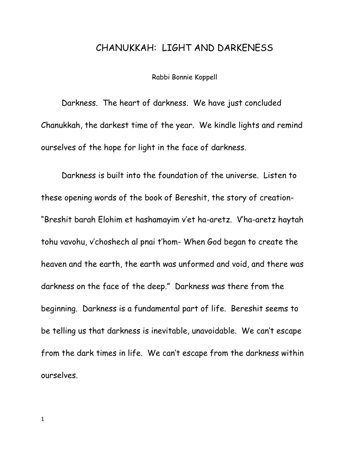## CHANUKKAH: LIGHT AND DARKENESS

Rabbi Bonnie Koppell

Darkness. The heart of darkness. We have just concluded Chanukkah, the darkest time of the year. We kindle lights and remind ourselves of the hope for light in the face of darkness.

Darkness is built into the foundation of the universe. Listen to these opening words of the book of Bereshit, the story of creation- "Breshit barah Elohim et hashamayim v'et ha-aretz. V'ha-aretz haytah tohu vavohu, v'choshech al pnai t'hom- When God began to create the heaven and the earth, the earth was unformed and void, and there was darkness on the face of the deep." Darkness was there from the beginning. Darkness is a fundamental part of life. Bereshit seems to be telling us that darkness is inevitable, unavoidable. We can't escape from the dark times in life. We can't escape from the darkness within ourselves.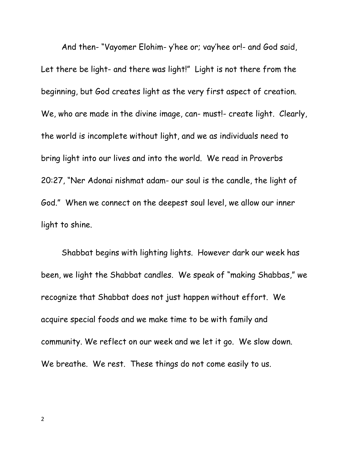And then- "Vayomer Elohim- y'hee or; vay'hee or!- and God said, Let there be light- and there was light!" Light is not there from the beginning, but God creates light as the very first aspect of creation. We, who are made in the divine image, can- must!- create light. Clearly, the world is incomplete without light, and we as individuals need to bring light into our lives and into the world. We read in Proverbs 20:27, "Ner Adonai nishmat adam- our soul is the candle, the light of God." When we connect on the deepest soul level, we allow our inner light to shine.

Shabbat begins with lighting lights. However dark our week has been, we light the Shabbat candles. We speak of "making Shabbas," we recognize that Shabbat does not just happen without effort. We acquire special foods and we make time to be with family and community. We reflect on our week and we let it go. We slow down. We breathe. We rest. These things do not come easily to us.